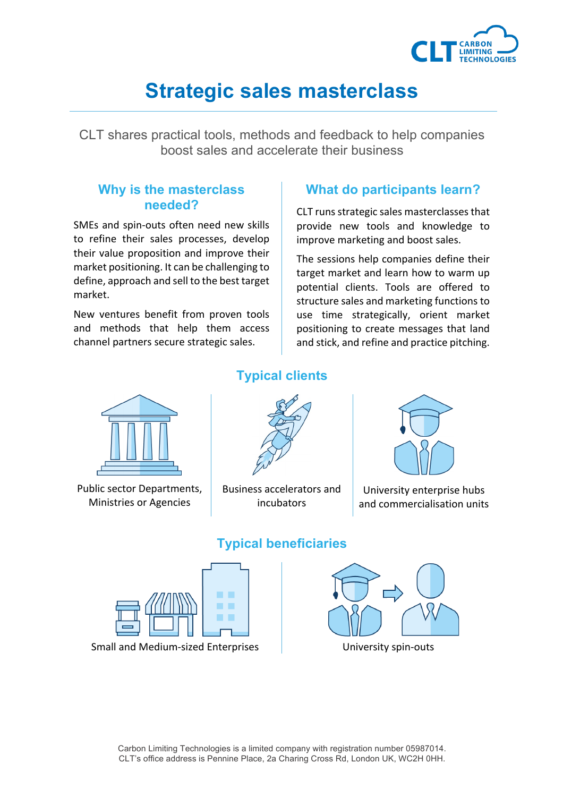

# **Strategic sales masterclass**

CLT shares practical tools, methods and feedback to help companies boost sales and accelerate their business

#### **Why is the masterclass needed?**

SMEs and spin-outs often need new skills to refine their sales processes, develop their value proposition and improve their market positioning. It can be challenging to define, approach and sell to the best target market. 

New ventures benefit from proven tools and methods that help them access channel partners secure strategic sales.

### **What do participants learn?**

CLT runs strategic sales masterclasses that provide new tools and knowledge to improve marketing and boost sales.

The sessions help companies define their target market and learn how to warm up potential clients. Tools are offered to structure sales and marketing functions to use time strategically, orient market positioning to create messages that land and stick, and refine and practice pitching.



Public sector Departments, Ministries or Agencies 

### **Typical clients**



Business accelerators and incubators



University enterprise hubs and commercialisation units



Small and Medium-sized Enterprises and Discussive University spin-outs

#### **Typical beneficiaries**